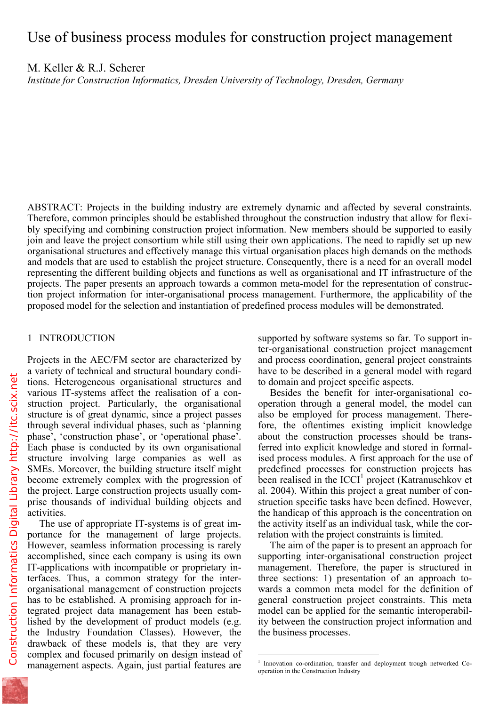M. Keller & R.J. Scherer

*Institute for Construction Informatics, Dresden University of Technology, Dresden, Germany* 

ABSTRACT: Projects in the building industry are extremely dynamic and affected by several constraints. Therefore, common principles should be established throughout the construction industry that allow for flexibly specifying and combining construction project information. New members should be supported to easily join and leave the project consortium while still using their own applications. The need to rapidly set up new organisational structures and effectively manage this virtual organisation places high demands on the methods and models that are used to establish the project structure. Consequently, there is a need for an overall model representing the different building objects and functions as well as organisational and IT infrastructure of the projects. The paper presents an approach towards a common meta-model for the representation of construction project information for inter-organisational process management. Furthermore, the applicability of the proposed model for the selection and instantiation of predefined process modules will be demonstrated.

 $\overline{a}$ 

# 1 INTRODUCTION

Projects in the AEC/FM sector are characterized by a variety of technical and structural boundary conditions. Heterogeneous organisational structures and various IT-systems affect the realisation of a construction project. Particularly, the organisational structure is of great dynamic, since a project passes through several individual phases, such as 'planning phase', 'construction phase', or 'operational phase'. Each phase is conducted by its own organisational structure involving large companies as well as SMEs. Moreover, the building structure itself might become extremely complex with the progression of the project. Large construction projects usually comprise thousands of individual building objects and activities.

The use of appropriate IT-systems is of great importance for the management of large projects. However, seamless information processing is rarely accomplished, since each company is using its own IT-applications with incompatible or proprietary interfaces. Thus, a common strategy for the interorganisational management of construction projects has to be established. A promising approach for integrated project data management has been established by the development of product models (e.g. the Industry Foundation Classes). However, the drawback of these models is, that they are very complex and focused primarily on design instead of management aspects. Again, just partial features are supported by software systems so far. To support inter-organisational construction project management and process coordination, general project constraints have to be described in a general model with regard to domain and project specific aspects.

Besides the benefit for inter-organisational cooperation through a general model, the model can also be employed for process management. Therefore, the oftentimes existing implicit knowledge about the construction processes should be transferred into explicit knowledge and stored in formalised process modules. A first approach for the use of predefined processes for construction projects has been realised in the  $ICCI<sup>1</sup>$  project (Katranuschkov et al. 2004). Within this project a great number of construction specific tasks have been defined. However, the handicap of this approach is the concentration on the activity itself as an individual task, while the correlation with the project constraints is limited.

The aim of the paper is to present an approach for supporting inter-organisational construction project management. Therefore, the paper is structured in three sections: 1) presentation of an approach towards a common meta model for the definition of general construction project constraints. This meta model can be applied for the semantic interoperability between the construction project information and the business processes.

<sup>1</sup> Innovation co-ordination, transfer and deployment trough networked Cooperation in the Construction Industry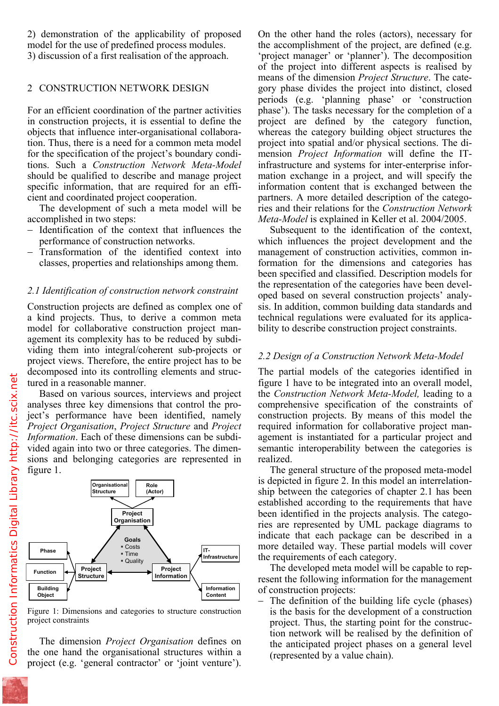model for the use of predefined process modules. 3) discussion of a first realisation of the approach.

# 2 CONSTRUCTION NETWORK DESIGN

For an efficient coordination of the partner activities in construction projects, it is essential to define the objects that influence inter-organisational collaboration. Thus, there is a need for a common meta model for the specification of the project's boundary conditions. Such a *Construction Network Meta-Model* should be qualified to describe and manage project specific information, that are required for an efficient and coordinated project cooperation.

The development of such a meta model will be accomplished in two steps:

- − Identification of the context that influences the performance of construction networks.
- Transformation of the identified context into classes, properties and relationships among them.

## *2.1 Identification of construction network constraint*

Construction projects are defined as complex one of a kind projects. Thus, to derive a common meta model for collaborative construction project management its complexity has to be reduced by subdividing them into integral/coherent sub-projects or project views. Therefore, the entire project has to be decomposed into its controlling elements and structured in a reasonable manner.

Based on various sources, interviews and project analyses three key dimensions that control the project's performance have been identified, namely *Project Organisation*, *Project Structure* and *Project Information*. Each of these dimensions can be subdivided again into two or three categories. The dimensions and belonging categories are represented in figure 1.



Figure 1: Dimensions and categories to structure construction project constraints

The dimension *Project Organisation* defines on the one hand the organisational structures within a project (e.g. 'general contractor' or 'joint venture').

the accomplishment of the project, are defined (e.g. 'project manager' or 'planner'). The decomposition of the project into different aspects is realised by means of the dimension *Project Structure*. The category phase divides the project into distinct, closed periods (e.g. 'planning phase' or 'construction phase'). The tasks necessary for the completion of a project are defined by the category function, whereas the category building object structures the project into spatial and/or physical sections. The dimension *Project Information* will define the ITinfrastructure and systems for inter-enterprise information exchange in a project, and will specify the information content that is exchanged between the partners. A more detailed description of the categories and their relations for the *Construction Network Meta-Model* is explained in Keller et al. 2004/2005.

Subsequent to the identification of the context, which influences the project development and the management of construction activities, common information for the dimensions and categories has been specified and classified. Description models for the representation of the categories have been developed based on several construction projects' analysis. In addition, common building data standards and technical regulations were evaluated for its applicability to describe construction project constraints.

## *2.2 Design of a Construction Network Meta-Model*

The partial models of the categories identified in figure 1 have to be integrated into an overall model, the *Construction Network Meta-Model,* leading to a comprehensive specification of the constraints of construction projects. By means of this model the required information for collaborative project management is instantiated for a particular project and semantic interoperability between the categories is realized.

The general structure of the proposed meta-model is depicted in figure 2. In this model an interrelationship between the categories of chapter 2.1 has been established according to the requirements that have been identified in the projects analysis. The categories are represented by UML package diagrams to indicate that each package can be described in a more detailed way. These partial models will cover the requirements of each category.

The developed meta model will be capable to represent the following information for the management of construction projects:

− The definition of the building life cycle (phases) is the basis for the development of a construction project. Thus, the starting point for the construction network will be realised by the definition of the anticipated project phases on a general level (represented by a value chain).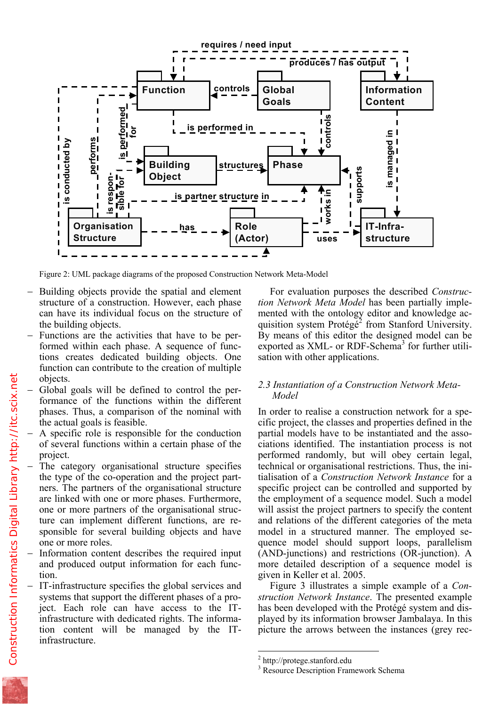

Figure 2: UML package diagrams of the proposed Construction Network Meta-Model

- − Building objects provide the spatial and element structure of a construction. However, each phase can have its individual focus on the structure of the building objects.
- − Functions are the activities that have to be performed within each phase. A sequence of functions creates dedicated building objects. One function can contribute to the creation of multiple objects.
- − Global goals will be defined to control the performance of the functions within the different phases. Thus, a comparison of the nominal with the actual goals is feasible.
- A specific role is responsible for the conduction of several functions within a certain phase of the project.
- The category organisational structure specifies the type of the co-operation and the project partners. The partners of the organisational structure are linked with one or more phases. Furthermore, one or more partners of the organisational structure can implement different functions, are responsible for several building objects and have one or more roles.
- Information content describes the required input and produced output information for each function.
- − IT-infrastructure specifies the global services and systems that support the different phases of a project. Each role can have access to the ITinfrastructure with dedicated rights. The information content will be managed by the ITinfrastructure.

For evaluation purposes the described *Construction Network Meta Model* has been partially implemented with the ontology editor and knowledge acquisition system Protégé<sup>2</sup> from Stanford University. By means of this editor the designed model can be exported as XML- or RDF-Schema<sup>3</sup> for further utilisation with other applications.

# *2.3 Instantiation of a Construction Network Meta-Model*

In order to realise a construction network for a specific project, the classes and properties defined in the partial models have to be instantiated and the associations identified. The instantiation process is not performed randomly, but will obey certain legal, technical or organisational restrictions. Thus, the initialisation of a *Construction Network Instance* for a specific project can be controlled and supported by the employment of a sequence model. Such a model will assist the project partners to specify the content and relations of the different categories of the meta model in a structured manner. The employed sequence model should support loops, parallelism (AND-junctions) and restrictions (OR-junction). A more detailed description of a sequence model is given in Keller et al. 2005.

Figure 3 illustrates a simple example of a *Construction Network Instance*. The presented example has been developed with the Protégé system and displayed by its information browser Jambalaya. In this picture the arrows between the instances (grey rec-

 2 http://protege.stanford.edu

<sup>3</sup> Resource Description Framework Schema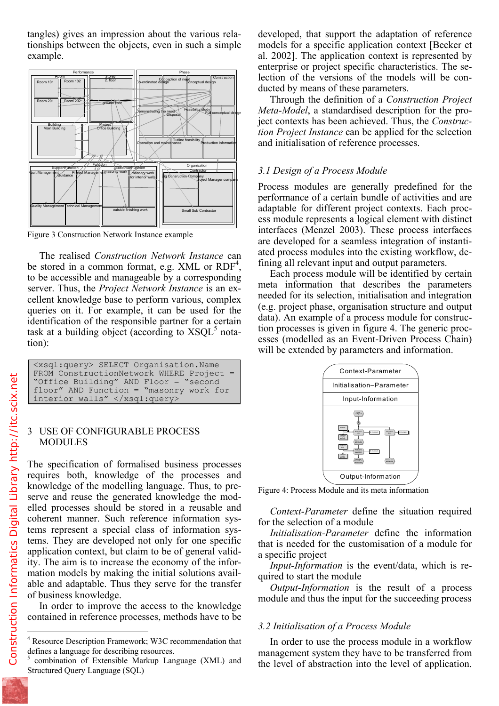tionships between the objects, even in such a simple example.



Figure 3 Construction Network Instance example

The realised *Construction Network Instance* can be stored in a common format, e.g. XML or  $RDF<sup>4</sup>$ , to be accessible and manageable by a corresponding server. Thus, the *Project Network Instance* is an excellent knowledge base to perform various, complex queries on it. For example, it can be used for the identification of the responsible partner for a certain task at a building object (according to  $XSQL^5$  notation):

| <xsql:query> SELECT Organisation.Name</xsql:query> |
|----------------------------------------------------|
| FROM ConstructionNetwork WHERE Project =           |
| "Office Building" AND Floor = "second"             |
| floor" AND Function = "masonry work for            |
| interior walls" $\langle x \rangle$ /xsql: query>  |

#### 3 USE OF CONFIGURABLE PROCESS MODULES

The specification of formalised business processes requires both, knowledge of the processes and knowledge of the modelling language. Thus, to preserve and reuse the generated knowledge the modelled processes should be stored in a reusable and coherent manner. Such reference information systems represent a special class of information systems. They are developed not only for one specific application context, but claim to be of general validity. The aim is to increase the economy of the information models by making the initial solutions available and adaptable. Thus they serve for the transfer of business knowledge.

In order to improve the access to the knowledge contained in reference processes, methods have to be models for a specific application context [Becker et al. 2002]. The application context is represented by enterprise or project specific characteristics. The selection of the versions of the models will be conducted by means of these parameters.

Through the definition of a *Construction Project Meta-Model*, a standardised description for the project contexts has been achieved. Thus, the *Construction Project Instance* can be applied for the selection and initialisation of reference processes.

## *3.1 Design of a Process Module*

Process modules are generally predefined for the performance of a certain bundle of activities and are adaptable for different project contexts. Each process module represents a logical element with distinct interfaces (Menzel 2003). These process interfaces are developed for a seamless integration of instantiated process modules into the existing workflow, defining all relevant input and output parameters.

Each process module will be identified by certain meta information that describes the parameters needed for its selection, initialisation and integration (e.g. project phase, organisation structure and output data). An example of a process module for construction processes is given in figure 4. The generic processes (modelled as an Event-Driven Process Chain) will be extended by parameters and information.



Figure 4: Process Module and its meta information

*Context-Parameter* define the situation required for the selection of a module

*Initialisation-Parameter* define the information that is needed for the customisation of a module for a specific project

*Input-Information* is the event/data, which is required to start the module

*Output-Information* is the result of a process module and thus the input for the succeeding process

## *3.2 Initialisation of a Process Module*

In order to use the process module in a workflow management system they have to be transferred from the level of abstraction into the level of application.

1

<sup>4</sup> Resource Description Framework; W3C recommendation that defines a language for describing resources.

<sup>5</sup> combination of Extensible Markup Language (XML) and Structured Query Language (SQL)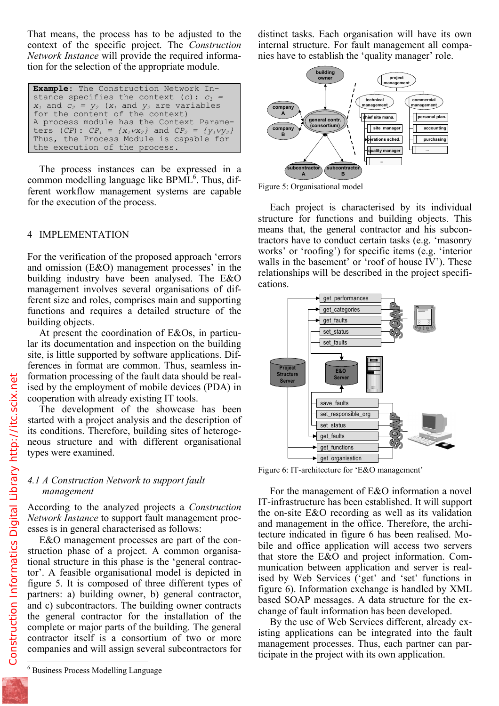context of the specific project. The *Construction Network Instance* will provide the required information for the selection of the appropriate module.

**Example**: The Construction Network Instance specifies the context (*c*):  $c_1 = x_1$  and  $c_2 = y_2$  (*x<sub>1</sub>* and *y<sub>2</sub>* are variables for the content of the context) A process module has the Context Parame $ters (CP): CP_1 = \{x_1 \vee x_2\}$  and  $CP_2 = \{y_1 \vee y_2\}$ Thus, the Process Module is capable for the execution of the process.

The process instances can be expressed in a common modelling language like  $BPML^6$ . Thus, different workflow management systems are capable for the execution of the process.

## 4 IMPLEMENTATION

For the verification of the proposed approach 'errors and omission (E&O) management processes' in the building industry have been analysed. The E&O management involves several organisations of different size and roles, comprises main and supporting functions and requires a detailed structure of the building objects.

At present the coordination of E&Os, in particular its documentation and inspection on the building site, is little supported by software applications. Differences in format are common. Thus, seamless information processing of the fault data should be realised by the employment of mobile devices (PDA) in cooperation with already existing IT tools.

The development of the showcase has been started with a project analysis and the description of its conditions. Therefore, building sites of heterogeneous structure and with different organisational types were examined.

# *4.1 A Construction Network to support fault management*

According to the analyzed projects a *Construction Network Instance* to support fault management processes is in general characterised as follows:

E&O management processes are part of the construction phase of a project. A common organisational structure in this phase is the 'general contractor'. A feasible organisational model is depicted in figure 5. It is composed of three different types of partners: a) building owner, b) general contractor, and c) subcontractors. The building owner contracts the general contractor for the installation of the complete or major parts of the building. The general contractor itself is a consortium of two or more companies and will assign several subcontractors for 1

6 Business Process Modelling Language

internal structure. For fault management all companies have to establish the 'quality manager' role.



Figure 5: Organisational model

Each project is characterised by its individual structure for functions and building objects. This means that, the general contractor and his subcontractors have to conduct certain tasks (e.g. 'masonry works' or 'roofing') for specific items (e.g. 'interior walls in the basement' or 'roof of house IV'). These relationships will be described in the project specifications.



Figure 6: IT-architecture for 'E&O management'

For the management of E&O information a novel IT-infrastructure has been established. It will support the on-site E&O recording as well as its validation and management in the office. Therefore, the architecture indicated in figure 6 has been realised. Mobile and office application will access two servers that store the E&O and project information. Communication between application and server is realised by Web Services ('get' and 'set' functions in figure 6). Information exchange is handled by XML based SOAP messages. A data structure for the exchange of fault information has been developed.

By the use of Web Services different, already existing applications can be integrated into the fault management processes. Thus, each partner can participate in the project with its own application.